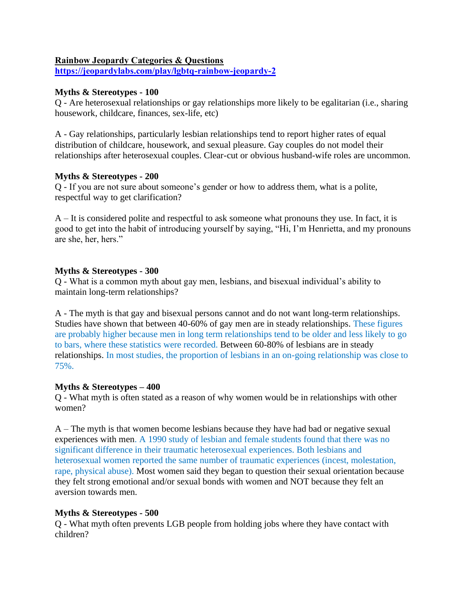## **Rainbow Jeopardy Categories & Questions**

**<https://jeopardylabs.com/play/lgbtq-rainbow-jeopardy-2>**

## **Myths & Stereotypes - 100**

Q - Are heterosexual relationships or gay relationships more likely to be egalitarian (i.e., sharing housework, childcare, finances, sex-life, etc)

A - Gay relationships, particularly lesbian relationships tend to report higher rates of equal distribution of childcare, housework, and sexual pleasure. Gay couples do not model their relationships after heterosexual couples. Clear-cut or obvious husband-wife roles are uncommon.

## **Myths & Stereotypes - 200**

Q - If you are not sure about someone's gender or how to address them, what is a polite, respectful way to get clarification?

A – It is considered polite and respectful to ask someone what pronouns they use. In fact, it is good to get into the habit of introducing yourself by saying, "Hi, I'm Henrietta, and my pronouns are she, her, hers."

## **Myths & Stereotypes - 300**

Q - What is a common myth about gay men, lesbians, and bisexual individual's ability to maintain long-term relationships?

A - The myth is that gay and bisexual persons cannot and do not want long-term relationships. Studies have shown that between 40-60% of gay men are in steady relationships. These figures are probably higher because men in long term relationships tend to be older and less likely to go to bars, where these statistics were recorded. Between 60-80% of lesbians are in steady relationships. In most studies, the proportion of lesbians in an on-going relationship was close to 75%.

## **Myths & Stereotypes – 400**

Q - What myth is often stated as a reason of why women would be in relationships with other women?

A – The myth is that women become lesbians because they have had bad or negative sexual experiences with men. A 1990 study of lesbian and female students found that there was no significant difference in their traumatic heterosexual experiences. Both lesbians and heterosexual women reported the same number of traumatic experiences (incest, molestation, rape, physical abuse). Most women said they began to question their sexual orientation because they felt strong emotional and/or sexual bonds with women and NOT because they felt an aversion towards men.

## **Myths & Stereotypes - 500**

Q - What myth often prevents LGB people from holding jobs where they have contact with children?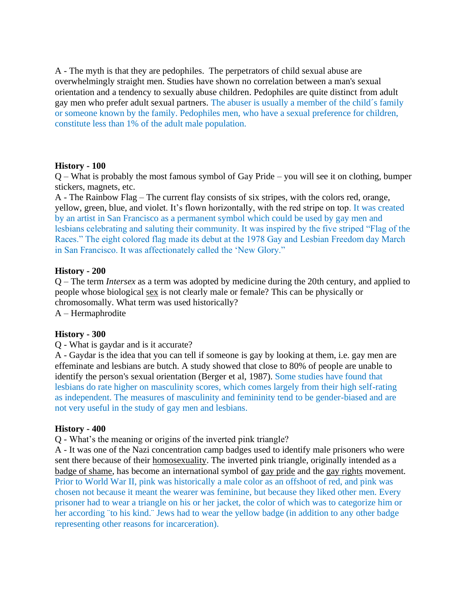A - The myth is that they are pedophiles. The perpetrators of child sexual abuse are overwhelmingly straight men. Studies have shown no correlation between a man's sexual orientation and a tendency to sexually abuse children. Pedophiles are quite distinct from adult gay men who prefer adult sexual partners. The abuser is usually a member of the child´s family or someone known by the family. Pedophiles men, who have a sexual preference for children, constitute less than 1% of the adult male population.

#### **History - 100**

Q – What is probably the most famous symbol of Gay Pride – you will see it on clothing, bumper stickers, magnets, etc.

A - The Rainbow Flag – The current flay consists of six stripes, with the colors red, orange, yellow, green, blue, and violet. It's flown horizontally, with the red stripe on top. It was created by an artist in San Francisco as a permanent symbol which could be used by gay men and lesbians celebrating and saluting their community. It was inspired by the five striped "Flag of the Races." The eight colored flag made its debut at the 1978 Gay and Lesbian Freedom day March in San Francisco. It was affectionately called the 'New Glory."

#### **History - 200**

Q – The term *Intersex* as a term was adopted by medicine during the 20th century, and applied to people whose biological [sex](http://en.wikipedia.org/wiki/Sex) is not clearly male or female? This can be physically or chromosomally. What term was used historically?

A – Hermaphrodite

#### **History - 300**

Q - What is gaydar and is it accurate?

A - Gaydar is the idea that you can tell if someone is gay by looking at them, i.e. gay men are effeminate and lesbians are butch. A study showed that close to 80% of people are unable to identify the person's sexual orientation (Berger et al, 1987). Some studies have found that lesbians do rate higher on masculinity scores, which comes largely from their high self-rating as independent. The measures of masculinity and femininity tend to be gender-biased and are not very useful in the study of gay men and lesbians.

#### **History - 400**

Q - What's the meaning or origins of the inverted pink triangle?

A - It was one of the Nazi concentration camp badges used to identify male prisoners who were sent there because of their [homosexuality.](http://en.wikipedia.org/wiki/Homosexuality) The inverted pink triangle, originally intended as a [badge of shame,](http://en.wikipedia.org/wiki/Badge_of_shame) has become an international symbol of [gay pride](http://en.wikipedia.org/wiki/Gay_pride) and the [gay rights](http://en.wikipedia.org/wiki/Gay_rights) movement. Prior to World War II, pink was historically a male color as an offshoot of red, and pink was chosen not because it meant the wearer was feminine, but because they liked other men. Every prisoner had to wear a triangle on his or her jacket, the color of which was to categorize him or her according "to his kind." Jews had to wear the yellow badge (in addition to any other badge representing other reasons for incarceration).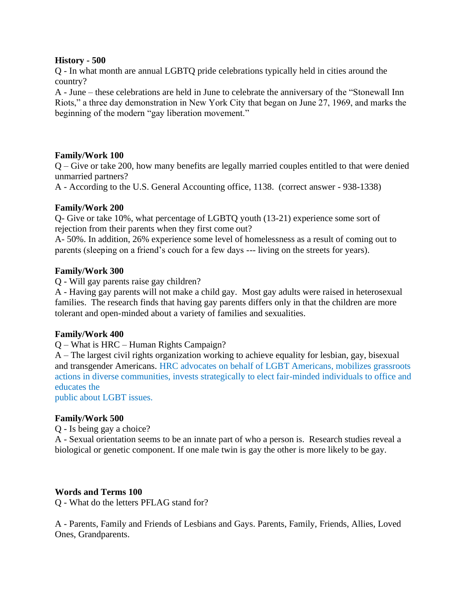#### **History - 500**

Q - In what month are annual LGBTQ pride celebrations typically held in cities around the country?

A - June – these celebrations are held in June to celebrate the anniversary of the "Stonewall Inn Riots," a three day demonstration in New York City that began on June 27, 1969, and marks the beginning of the modern "gay liberation movement."

# **Family/Work 100**

Q – Give or take 200, how many benefits are legally married couples entitled to that were denied unmarried partners?

A - According to the U.S. General Accounting office, 1138. (correct answer - 938-1338)

## **Family/Work 200**

Q- Give or take 10%, what percentage of LGBTQ youth (13-21) experience some sort of rejection from their parents when they first come out?

A- 50%. In addition, 26% experience some level of homelessness as a result of coming out to parents (sleeping on a friend's couch for a few days --- living on the streets for years).

## **Family/Work 300**

Q - Will gay parents raise gay children?

A - Having gay parents will not make a child gay. Most gay adults were raised in heterosexual families. The research finds that having gay parents differs only in that the children are more tolerant and open-minded about a variety of families and sexualities.

## **Family/Work 400**

Q – What is HRC – Human Rights Campaign?

A – The largest civil rights organization working to achieve equality for lesbian, gay, bisexual and transgender Americans. HRC advocates on behalf of LGBT Americans, mobilizes grassroots actions in diverse communities, invests strategically to elect fair-minded individuals to office and educates the

public about LGBT issues.

## **Family/Work 500**

Q - Is being gay a choice?

A - Sexual orientation seems to be an innate part of who a person is. Research studies reveal a biological or genetic component. If one male twin is gay the other is more likely to be gay.

## **Words and Terms 100**

Q - What do the letters PFLAG stand for?

A - Parents, Family and Friends of Lesbians and Gays. Parents, Family, Friends, Allies, Loved Ones, Grandparents.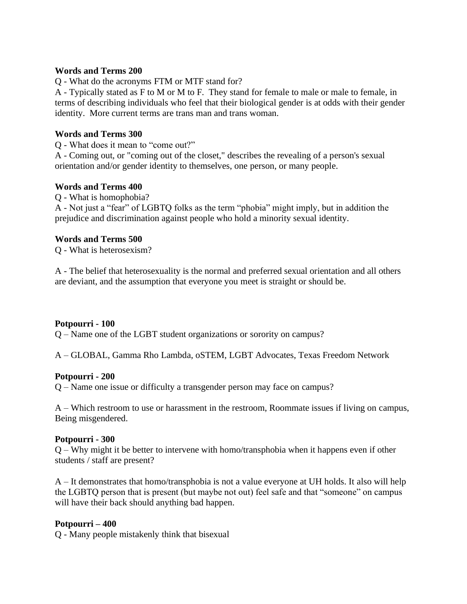## **Words and Terms 200**

Q - What do the acronyms FTM or MTF stand for?

A - Typically stated as F to M or M to F. They stand for female to male or male to female, in terms of describing individuals who feel that their biological gender is at odds with their gender identity. More current terms are trans man and trans woman.

#### **Words and Terms 300**

Q - What does it mean to "come out?"

A - Coming out, or "coming out of the closet," describes the revealing of a person's sexual orientation and/or gender identity to themselves, one person, or many people.

#### **Words and Terms 400**

Q - What is homophobia?

A - Not just a "fear" of LGBTQ folks as the term "phobia" might imply, but in addition the prejudice and discrimination against people who hold a minority sexual identity.

#### **Words and Terms 500**

Q - What is heterosexism?

A - The belief that heterosexuality is the normal and preferred sexual orientation and all others are deviant, and the assumption that everyone you meet is straight or should be.

## **Potpourri - 100**

Q – Name one of the LGBT student organizations or sorority on campus?

A – GLOBAL, Gamma Rho Lambda, oSTEM, LGBT Advocates, Texas Freedom Network

#### **Potpourri - 200**

Q – Name one issue or difficulty a transgender person may face on campus?

A – Which restroom to use or harassment in the restroom, Roommate issues if living on campus, Being misgendered.

#### **Potpourri - 300**

Q – Why might it be better to intervene with homo/transphobia when it happens even if other students / staff are present?

A – It demonstrates that homo/transphobia is not a value everyone at UH holds. It also will help the LGBTQ person that is present (but maybe not out) feel safe and that "someone" on campus will have their back should anything bad happen.

#### **Potpourri – 400**

Q - Many people mistakenly think that bisexual